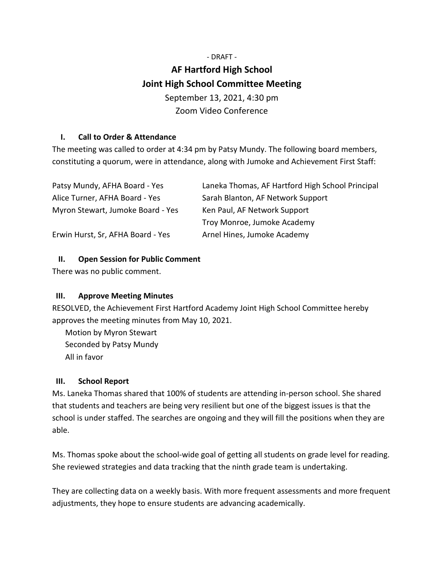# - DRAFT - **AF Hartford High School Joint High School Committee Meeting** September 13, 2021, 4:30 pm Zoom Video Conference

### **I. Call to Order & Attendance**

The meeting was called to order at 4:34 pm by Patsy Mundy. The following board members, constituting a quorum, were in attendance, along with Jumoke and Achievement First Staff:

| Patsy Mundy, AFHA Board - Yes     | Laneka Thomas, AF Hartford High School Principal |
|-----------------------------------|--------------------------------------------------|
| Alice Turner, AFHA Board - Yes    | Sarah Blanton, AF Network Support                |
| Myron Stewart, Jumoke Board - Yes | Ken Paul, AF Network Support                     |
|                                   | Troy Monroe, Jumoke Academy                      |
| Erwin Hurst, Sr, AFHA Board - Yes | Arnel Hines, Jumoke Academy                      |

# **II. Open Session for Public Comment**

There was no public comment.

# **III. Approve Meeting Minutes**

RESOLVED, the Achievement First Hartford Academy Joint High School Committee hereby approves the meeting minutes from May 10, 2021.

Motion by Myron Stewart Seconded by Patsy Mundy All in favor

#### **III. School Report**

Ms. Laneka Thomas shared that 100% of students are attending in-person school. She shared that students and teachers are being very resilient but one of the biggest issues is that the school is under staffed. The searches are ongoing and they will fill the positions when they are able.

Ms. Thomas spoke about the school-wide goal of getting all students on grade level for reading. She reviewed strategies and data tracking that the ninth grade team is undertaking.

They are collecting data on a weekly basis. With more frequent assessments and more frequent adjustments, they hope to ensure students are advancing academically.